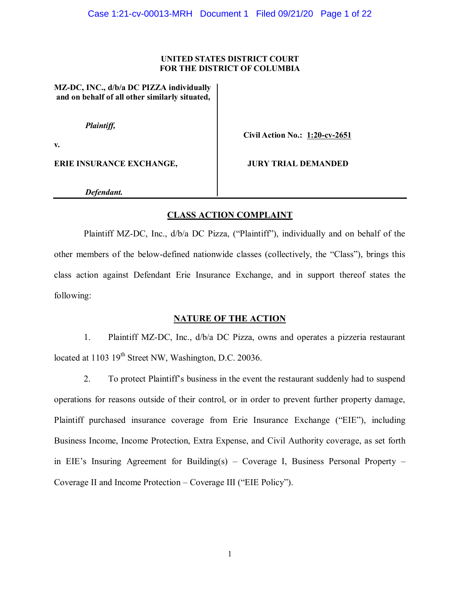#### **UNITED STATES DISTRICT COURT FOR THE DISTRICT OF COLUMBIA**

**MZ-DC, INC., d/b/a DC PIZZA individually and on behalf of all other similarly situated,**

 *Plaintiff,*

**v.**

**ERIE INSURANCE EXCHANGE, JURY TRIAL DEMANDED**

**Civil Action No.: 1:20-cv-2651**

*Defendant.*

# **CLASS ACTION COMPLAINT**

Plaintiff MZ-DC, Inc., d/b/a DC Pizza, ("Plaintiff"), individually and on behalf of the other members of the below-defined nationwide classes (collectively, the "Class"), brings this class action against Defendant Erie Insurance Exchange, and in support thereof states the following:

# **NATURE OF THE ACTION**

1. Plaintiff MZ-DC, Inc., d/b/a DC Pizza, owns and operates a pizzeria restaurant located at 1103 19<sup>th</sup> Street NW, Washington, D.C. 20036.

2. To protect Plaintiff's business in the event the restaurant suddenly had to suspend operations for reasons outside of their control, or in order to prevent further property damage, Plaintiff purchased insurance coverage from Erie Insurance Exchange ("EIE"), including Business Income, Income Protection, Extra Expense, and Civil Authority coverage, as set forth in EIE's Insuring Agreement for Building(s)  $-$  Coverage I, Business Personal Property  $-$ Coverage II and Income Protection  $-$  Coverage III ("EIE Policy").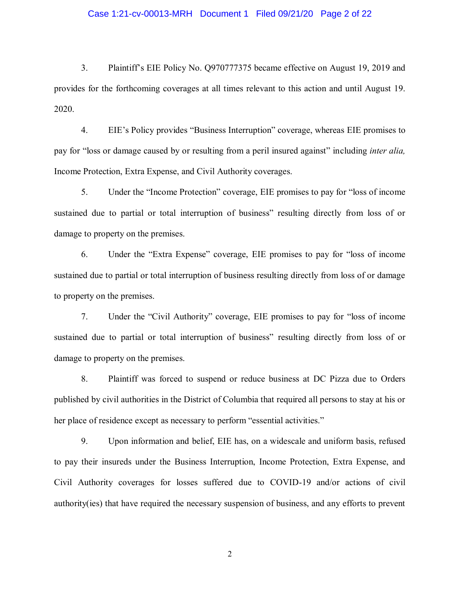#### Case 1:21-cv-00013-MRH Document 1 Filed 09/21/20 Page 2 of 22

3. Plaint if it s EIE Policy No. 0970777375 became effective on August 19, 2019 and provides for the forthcoming coverages at all times relevant to this action and until August 19. 2020.

4. EIE's Policy provides "Business Interruption" coverage, whereas EIE promises to pay for "loss or damage caused by or resulting from a peril insured against" including *inter alia*, Income Protection, Extra Expense, and Civil Authority coverages.

5. Under the "Income Protection" coverage, EIE promises to pay for "loss of income" sustained due to partial or total interruption of business" resulting directly from loss of or damage to property on the premises.

6. Under the "Extra Expense" coverage, EIE promises to pay for "loss of income" sustained due to partial or total interruption of business resulting directly from loss of or damage to property on the premises.

7. Under the "Civil Authority" coverage, EIE promises to pay for "loss of income sustained due to partial or total interruption of business" resulting directly from loss of or damage to property on the premises.

8. Plaintiff was forced to suspend or reduce business at DC Pizza due to Orders published by civil authorities in the District of Columbia that required all persons to stay at his or her place of residence except as necessary to perform "essential activities."

9. Upon information and belief, EIE has, on a widescale and uniform basis, refused to pay their insureds under the Business Interruption, Income Protection, Extra Expense, and Civil Authority coverages for losses suffered due to COVID-19 and/or actions of civil authority(ies) that have required the necessary suspension of business, and any efforts to prevent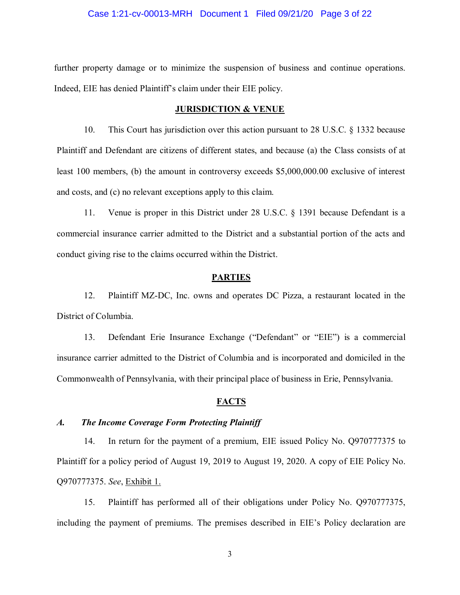#### Case 1:21-cv-00013-MRH Document 1 Filed 09/21/20 Page 3 of 22

further property damage or to minimize the suspension of business and continue operations. Indeed, EIE has denied Plaintiff's claim under their EIE policy.

#### **JURISDICTION & VENUE**

10. This Court has jurisdiction over this action pursuant to 28 U.S.C. § 1332 because Plaintiff and Defendant are citizens of different states, and because (a) the Class consists of at least 100 members, (b) the amount in controversy exceeds \$5,000,000.00 exclusive of interest and costs, and (c) no relevant exceptions apply to this claim.

11. Venue is proper in this District under 28 U.S.C. § 1391 because Defendant is a commercial insurance carrier admitted to the District and a substantial portion of the acts and conduct giving rise to the claims occurred within the District.

## **PARTIES**

12. Plaintiff MZ-DC, Inc. owns and operates DC Pizza, a restaurant located in the District of Columbia.

13. Defendant Erie Insurance Exchange ("Defendant" or "EIE") is a commercial insurance carrier admitted to the District of Columbia and is incorporated and domiciled in the Commonwealth of Pennsylvania, with their principal place of business in Erie, Pennsylvania.

#### **FACTS**

## *A. The Income Coverage Form Protecting Plaintiff*

14. In return for the payment of a premium, EIE issued Policy No. Q970777375 to Plaintiff for a policy period of August 19, 2019 to August 19, 2020. A copy of EIE Policy No. Q970777375. *See*, Exhibit 1.

15. Plaintiff has performed all of their obligations under Policy No. Q970777375, including the payment of premiums. The premises described in EIE's Policy declaration are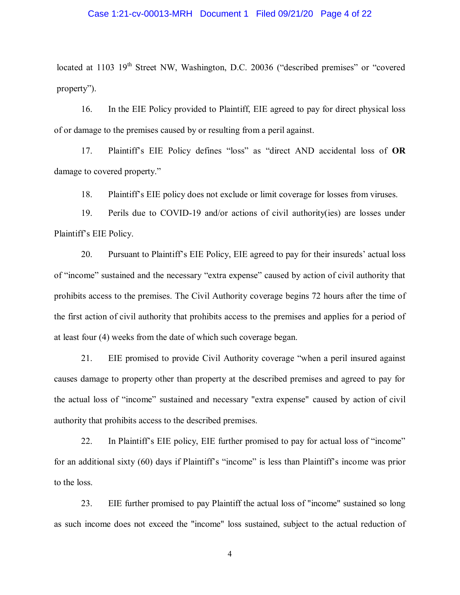#### Case 1:21-cv-00013-MRH Document 1 Filed 09/21/20 Page 4 of 22

located at 1103  $19<sup>th</sup>$  Street NW, Washington, D.C. 20036 ("described premises" or "covered  $property$ ").

16. In the EIE Policy provided to Plaintiff, EIE agreed to pay for direct physical loss of or damage to the premises caused by or resulting from a peril against.

17. Plaintiff's EIE Policy defines "loss" as "direct AND accidental loss of OR damage to covered property."

18. Plaint if it is EIE policy does not exclude or limit coverage for losses from viruses.

19. Perils due to COVID-19 and/or actions of civil authority(ies) are losses under Plaintiff's EIE Policy.

20. Pursuant to Plaintiff's EIE Policy, EIE agreed to pay for their insureds' actual loss of "income" sustained and the necessary "extra expense" caused by action of civil authority that prohibits access to the premises. The Civil Authority coverage begins 72 hours after the time of the first action of civil authority that prohibits access to the premises and applies for a period of at least four (4) weeks from the date of which such coverage began.

21. EIE promised to provide Civil Authority coverage "when a peril insured against causes damage to property other than property at the described premises and agreed to pay for the actual loss of "income" sustained and necessary "extra expense" caused by action of civil authority that prohibits access to the described premises.

22. In Plaintiff's EIE policy, EIE further promised to pay for actual loss of "income" for an additional sixty (60) days if Plaintiff's "income" is less than Plaintiff's income was prior to the loss.

23. EIE further promised to pay Plaintiff the actual loss of "income" sustained so long as such income does not exceed the "income" loss sustained, subject to the actual reduction of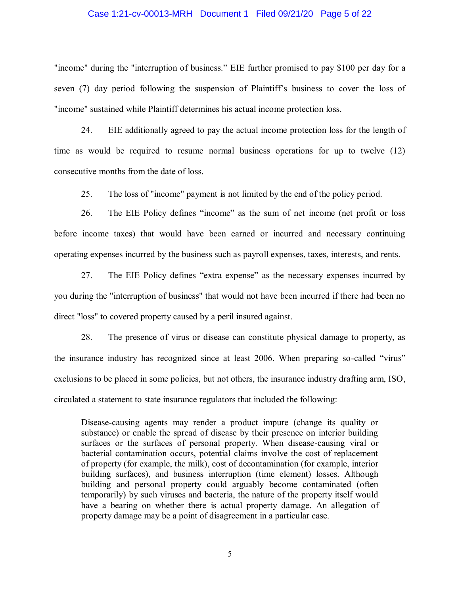#### Case 1:21-cv-00013-MRH Document 1 Filed 09/21/20 Page 5 of 22

"income" during the "interruption of business." EIE further promised to pay \$100 per day for a seven (7) day period following the suspension of Plaintiff's business to cover the loss of "income" sustained while Plaintiff determines his actual income protection loss.

24. EIE additionally agreed to pay the actual income protection loss for the length of time as would be required to resume normal business operations for up to twelve (12) consecutive months from the date of loss.

25. The loss of "income" payment is not limited by the end of the policy period.

26. The EIE Policy defines "income" as the sum of net income (net profit or loss before income taxes) that would have been earned or incurred and necessary continuing operating expenses incurred by the business such as payroll expenses, taxes, interests, and rents.

27. The EIE Policy defines "extra expense" as the necessary expenses incurred by you during the "interruption of business" that would not have been incurred if there had been no direct "loss" to covered property caused by a peril insured against.

28. The presence of virus or disease can constitute physical damage to property, as the insurance industry has recognized since at least 2006. When preparing so-called "virus" exclusions to be placed in some policies, but not others, the insurance industry drafting arm, ISO, circulated a statement to state insurance regulators that included the following:

Disease-causing agents may render a product impure (change its quality or substance) or enable the spread of disease by their presence on interior building surfaces or the surfaces of personal property. When disease-causing viral or bacterial contamination occurs, potential claims involve the cost of replacement of property (for example, the milk), cost of decontamination (for example, interior building surfaces), and business interruption (time element) losses. Although building and personal property could arguably become contaminated (often temporarily) by such viruses and bacteria, the nature of the property itself would have a bearing on whether there is actual property damage. An allegation of property damage may be a point of disagreement in a particular case.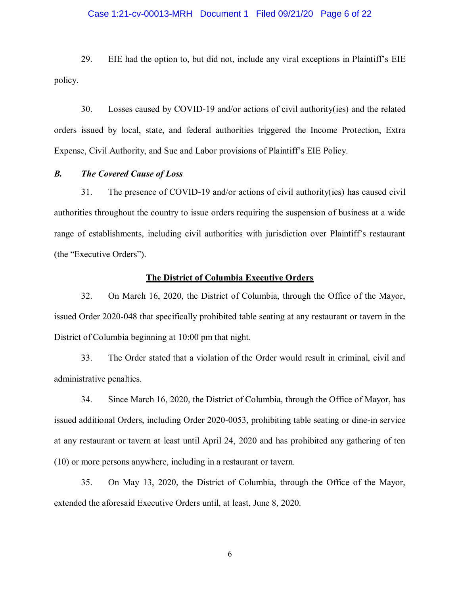#### Case 1:21-cv-00013-MRH Document 1 Filed 09/21/20 Page 6 of 22

29. EIE had the option to, but did not, include any viral exceptions in Plaintiff's EIE policy.

30. Losses caused by COVID-19 and/or actions of civil authority(ies) and the related orders issued by local, state, and federal authorities triggered the Income Protection, Extra Expense, Civil Authority, and Sue and Labor provisions of Plaintiff's EIE Policy.

## *B. The Covered Cause of Loss*

31. The presence of COVID-19 and/or actions of civil authority(ies) has caused civil authorities throughout the country to issue orders requiring the suspension of business at a wide range of establishments, including civil authorities with jurisdiction over Plaintiff's restaurant (the "Executive Orders").

#### **The District of Columbia Executive Orders**

32. On March 16, 2020, the District of Columbia, through the Office of the Mayor, issued Order 2020-048 that specifically prohibited table seating at any restaurant or tavern in the District of Columbia beginning at 10:00 pm that night.

33. The Order stated that a violation of the Order would result in criminal, civil and administrative penalties.

34. Since March 16, 2020, the District of Columbia, through the Office of Mayor, has issued additional Orders, including Order 2020-0053, prohibiting table seating or dine-in service at any restaurant or tavern at least until April 24, 2020 and has prohibited any gathering of ten (10) or more persons anywhere, including in a restaurant or tavern.

35. On May 13, 2020, the District of Columbia, through the Office of the Mayor, extended the aforesaid Executive Orders until, at least, June 8, 2020.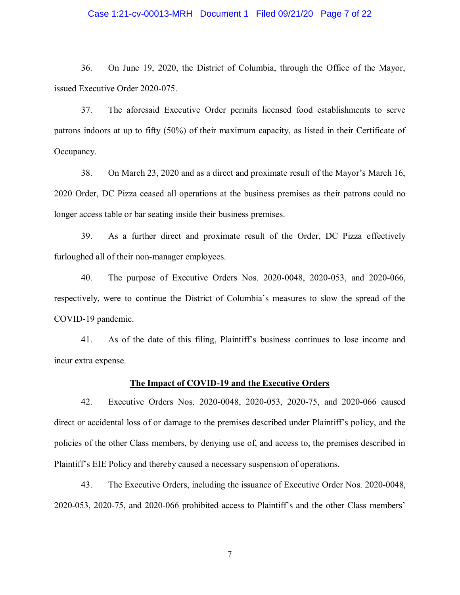#### Case 1:21-cv-00013-MRH Document 1 Filed 09/21/20 Page 7 of 22

36. On June 19, 2020, the District of Columbia, through the Office of the Mayor, issued Executive Order 2020-075.

37. The aforesaid Executive Order permits licensed food establishments to serve patrons indoors at up to fifty (50%) of their maximum capacity, as listed in their Certificate of Occupancy.

38. On March 23, 2020 and as a direct and proximate result of the Mayor's March 16, 2020 Order, DC Pizza ceased all operations at the business premises as their patrons could no longer access table or bar seating inside their business premises.

39. As a further direct and proximate result of the Order, DC Pizza effectively furloughed all of their non-manager employees.

40. The purpose of Executive Orders Nos. 2020-0048, 2020-053, and 2020-066, respectively, were to continue the District of Columbia's measures to slow the spread of the COVID-19 pandemic.

41. As of the date of this filing, Plaintiff's business continues to lose income and incur extra expense.

#### **The Impact of COVID-19 and the Executive Orders**

42. Executive Orders Nos. 2020-0048, 2020-053, 2020-75, and 2020-066 caused direct or accidental loss of or damage to the premises described under Plaintiff's policy, and the policies of the other Class members, by denying use of, and access to, the premises described in Plaintiff's EIE Policy and thereby caused a necessary suspension of operations.

43. The Executive Orders, including the issuance of Executive Order Nos. 2020-0048, 2020-053, 2020-75, and 2020-066 prohibited access to Plaintiff's and the other Class members'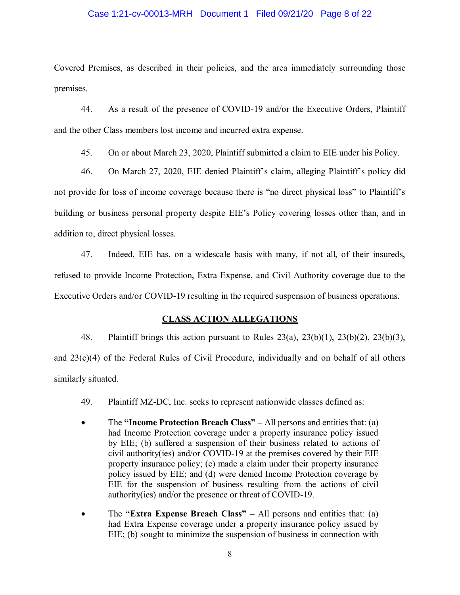#### Case 1:21-cv-00013-MRH Document 1 Filed 09/21/20 Page 8 of 22

Covered Premises, as described in their policies, and the area immediately surrounding those premises.

44. As a result of the presence of COVID-19 and/or the Executive Orders, Plaintiff and the other Class members lost income and incurred extra expense.

45. On or about March 23, 2020, Plaintiff submitted a claim to EIE under his Policy.

46. On March 27, 2020, EIE denied Plaintiff's claim, alleging Plaintiff's policy did not provide for loss of income coverage because there is "no direct physical loss" to Plaintiff's building or business personal property despite EIE's Policy covering losses other than, and in addition to, direct physical losses.

47. Indeed, EIE has, on a widescale basis with many, if not all, of their insureds, refused to provide Income Protection, Extra Expense, and Civil Authority coverage due to the Executive Orders and/or COVID-19 resulting in the required suspension of business operations.

## **CLASS ACTION ALLEGATIONS**

48. Plaintiff brings this action pursuant to Rules  $23(a)$ ,  $23(b)(1)$ ,  $23(b)(2)$ ,  $23(b)(3)$ , and 23(c)(4) of the Federal Rules of Civil Procedure, individually and on behalf of all others similarly situated.

- 49. Plaintiff MZ-DC, Inc. seeks to represent nationwide classes defined as:
- The **"Income Protection Breach Class"** All persons and entities that: (a) had Income Protection coverage under a property insurance policy issued by EIE; (b) suffered a suspension of their business related to actions of civil authority(ies) and/or COVID-19 at the premises covered by their EIE property insurance policy; (c) made a claim under their property insurance policy issued by EIE; and (d) were denied Income Protection coverage by EIE for the suspension of business resulting from the actions of civil authority(ies) and/or the presence or threat of COVID-19.
- The **Extra Expense Breach Class**<sup>\*</sup> All persons and entities that: (a) had Extra Expense coverage under a property insurance policy issued by EIE; (b) sought to minimize the suspension of business in connection with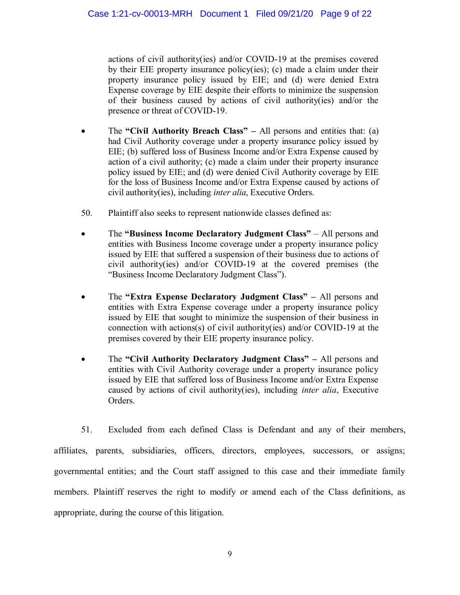actions of civil authority(ies) and/or COVID-19 at the premises covered by their EIE property insurance policy(ies); (c) made a claim under their property insurance policy issued by EIE; and (d) were denied Extra Expense coverage by EIE despite their efforts to minimize the suspension of their business caused by actions of civil authority(ies) and/or the presence or threat of COVID-19.

- The **"Civil Authority Breach Class"** All persons and entities that: (a) had Civil Authority coverage under a property insurance policy issued by EIE; (b) suffered loss of Business Income and/or Extra Expense caused by action of a civil authority; (c) made a claim under their property insurance policy issued by EIE; and (d) were denied Civil Authority coverage by EIE for the loss of Business Income and/or Extra Expense caused by actions of civil authority(ies), including *inter alia*, Executive Orders.
- 50. Plaintiff also seeks to represent nationwide classes defined as:
- The **Business Income Declaratory Judgment Class**<sup>\*</sup> All persons and entities with Business Income coverage under a property insurance policy issued by EIE that suffered a suspension of their business due to actions of civil authority(ies) and/or COVID-19 at the covered premises (the "Business Income Declaratory Judgment Class").
- The **"Extra Expense Declaratory Judgment Class"** All persons and entities with Extra Expense coverage under a property insurance policy issued by EIE that sought to minimize the suspension of their business in connection with actions(s) of civil authority(ies) and/or COVID-19 at the premises covered by their EIE property insurance policy.
- The "Civil Authority Declaratory Judgment Class" All persons and entities with Civil Authority coverage under a property insurance policy issued by EIE that suffered loss of Business Income and/or Extra Expense caused by actions of civil authority(ies), including *inter alia*, Executive Orders.

51. Excluded from each defined Class is Defendant and any of their members, affiliates, parents, subsidiaries, officers, directors, employees, successors, or assigns; governmental entities; and the Court staff assigned to this case and their immediate family members. Plaintiff reserves the right to modify or amend each of the Class definitions, as appropriate, during the course of this litigation.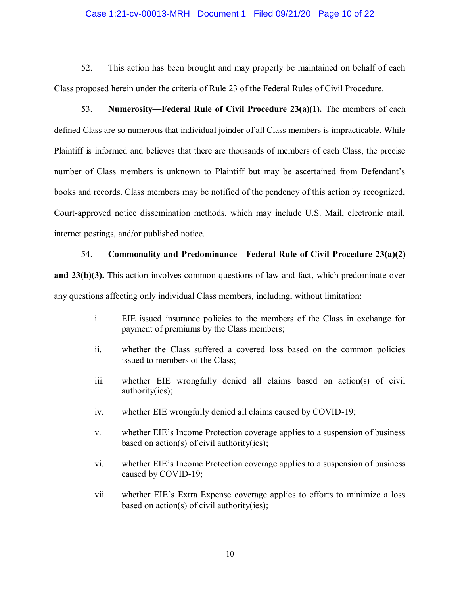#### Case 1:21-cv-00013-MRH Document 1 Filed 09/21/20 Page 10 of 22

52. This action has been brought and may properly be maintained on behalf of each Class proposed herein under the criteria of Rule 23 of the Federal Rules of Civil Procedure.

53. **Numerosity—Federal Rule of Civil Procedure 23(a)(1).** The members of each defined Class are so numerous that individual joinder of all Class members is impracticable. While Plaintiff is informed and believes that there are thousands of members of each Class, the precise number of Class members is unknown to Plaintiff but may be ascertained from Defendant's books and records. Class members may be notified of the pendency of this action by recognized, Court-approved notice dissemination methods, which may include U.S. Mail, electronic mail, internet postings, and/or published notice.

#### 54. **Commonality and Predominance—Federal Rule of Civil Procedure 23(a)(2)**

**and 23(b)(3).** This action involves common questions of law and fact, which predominate over any questions affecting only individual Class members, including, without limitation:

- i. EIE issued insurance policies to the members of the Class in exchange for payment of premiums by the Class members;
- ii. whether the Class suffered a covered loss based on the common policies issued to members of the Class;
- iii. whether EIE wrongfully denied all claims based on action(s) of civil authority(ies);
- iv. whether EIE wrongfully denied all claims caused by COVID-19;
- v. whether EIE's Income Protection coverage applies to a suspension of business based on action(s) of civil authority(ies);
- vi. whether EIE's Income Protection coverage applies to a suspension of business caused by COVID-19;
- vii. whether EIE's Extra Expense coverage applies to efforts to minimize a loss based on action(s) of civil authority(ies);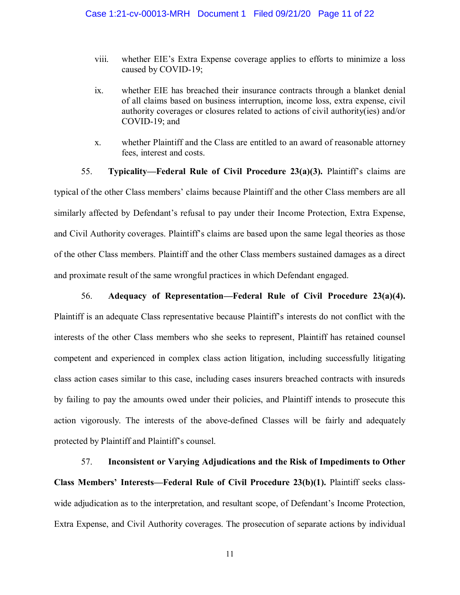- viii. whether EIE's Extra Expense coverage applies to efforts to minimize a loss caused by COVID-19;
- ix. whether EIE has breached their insurance contracts through a blanket denial of all claims based on business interruption, income loss, extra expense, civil authority coverages or closures related to actions of civil authority(ies) and/or COVID-19; and
- x. whether Plaintiff and the Class are entitled to an award of reasonable attorney fees, interest and costs.

55. **Typicality—Federal Rule of Civil Procedure 23(a)(3).** Plaintiff's claims are typical of the other Class members' claims because Plaintiff and the other Class members are all similarly affected by Defendant's refusal to pay under their Income Protection, Extra Expense, and Civil Authority coverages. Plaint if is claims are based upon the same legal theories as those of the other Class members. Plaintiff and the other Class members sustained damages as a direct and proximate result of the same wrongful practices in which Defendant engaged.

#### 56. **Adequacy of Representation—Federal Rule of Civil Procedure 23(a)(4).**

Plaintiff is an adequate Class representative because Plaintiff's interests do not conflict with the interests of the other Class members who she seeks to represent, Plaintiff has retained counsel competent and experienced in complex class action litigation, including successfully litigating class action cases similar to this case, including cases insurers breached contracts with insureds by failing to pay the amounts owed under their policies, and Plaintiff intends to prosecute this action vigorously. The interests of the above-defined Classes will be fairly and adequately protected by Plaintiff and Plaintiff's counsel.

57. **Inconsistent or Varying Adjudications and the Risk of Impediments to Other Class Members' Interests—Federal Rule of Civil Procedure 23(b)(1). Plaintiff seeks class**wide adjudication as to the interpretation, and resultant scope, of Defendant's Income Protection, Extra Expense, and Civil Authority coverages. The prosecution of separate actions by individual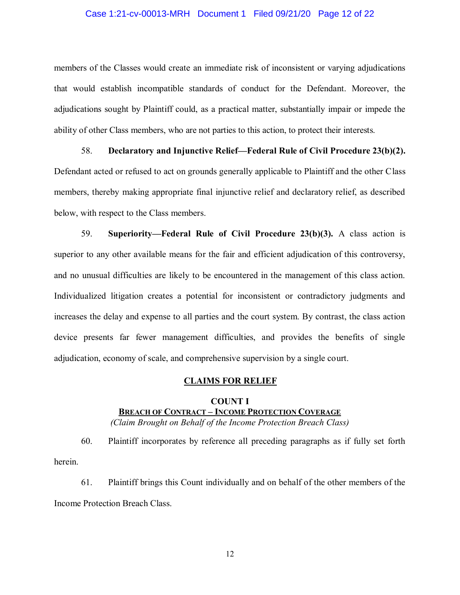#### Case 1:21-cv-00013-MRH Document 1 Filed 09/21/20 Page 12 of 22

members of the Classes would create an immediate risk of inconsistent or varying adjudications that would establish incompatible standards of conduct for the Defendant. Moreover, the adjudications sought by Plaintiff could, as a practical matter, substantially impair or impede the ability of other Class members, who are not parties to this action, to protect their interests.

58. **Declaratory and Injunctive Relief—Federal Rule of Civil Procedure 23(b)(2).**  Defendant acted or refused to act on grounds generally applicable to Plaintiff and the other Class members, thereby making appropriate final injunctive relief and declaratory relief, as described below, with respect to the Class members.

59. **Superiority—Federal Rule of Civil Procedure 23(b)(3).** A class action is superior to any other available means for the fair and efficient adjudication of this controversy, and no unusual difficulties are likely to be encountered in the management of this class action. Individualized litigation creates a potential for inconsistent or contradictory judgments and increases the delay and expense to all parties and the court system. By contrast, the class action device presents far fewer management difficulties, and provides the benefits of single adjudication, economy of scale, and comprehensive supervision by a single court.

#### **CLAIMS FOR RELIEF**

## **COUNT I BREACH OF CONTRACT – INCOME PROTECTION COVERAGE**  *(Claim Brought on Behalf of the Income Protection Breach Class)*

60. Plaintiff incorporates by reference all preceding paragraphs as if fully set forth herein.

61. Plaintiff brings this Count individually and on behalf of the other members of the Income Protection Breach Class.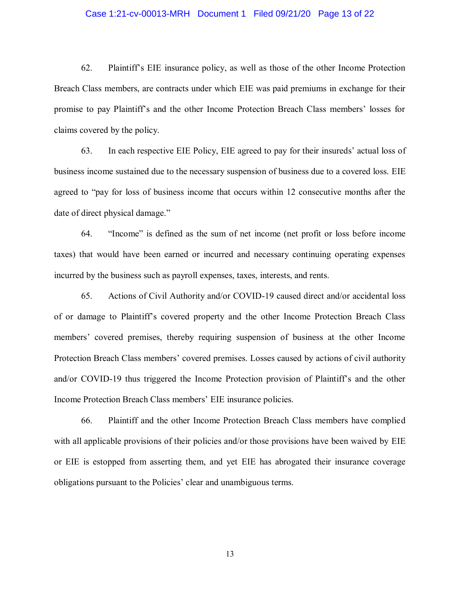#### Case 1:21-cv-00013-MRH Document 1 Filed 09/21/20 Page 13 of 22

62. Plaint if f's EIE insurance policy, as well as those of the other Income Protection Breach Class members, are contracts under which EIE was paid premiums in exchange for their promise to pay Plaintiff's and the other Income Protection Breach Class members' losses for claims covered by the policy.

63. In each respective EIE Policy, EIE agreed to pay for their insureds' actual loss of business income sustained due to the necessary suspension of business due to a covered loss. EIE agreed to "pay for loss of business income that occurs within 12 consecutive months after the date of direct physical damage."

64. "Income" is defined as the sum of net income (net profit or loss before income taxes) that would have been earned or incurred and necessary continuing operating expenses incurred by the business such as payroll expenses, taxes, interests, and rents.

65. Actions of Civil Authority and/or COVID-19 caused direct and/or accidental loss of or damage to Plaintiff's covered property and the other Income Protection Breach Class members' covered premises, thereby requiring suspension of business at the other Income Protection Breach Class members' covered premises. Losses caused by actions of civil authority and/or COVID-19 thus triggered the Income Protection provision of Plaintiff's and the other Income Protection Breach Class members' EIE insurance policies.

66. Plaintiff and the other Income Protection Breach Class members have complied with all applicable provisions of their policies and/or those provisions have been waived by EIE or EIE is estopped from asserting them, and yet EIE has abrogated their insurance coverage obligations pursuant to the Policies' clear and unambiguous terms.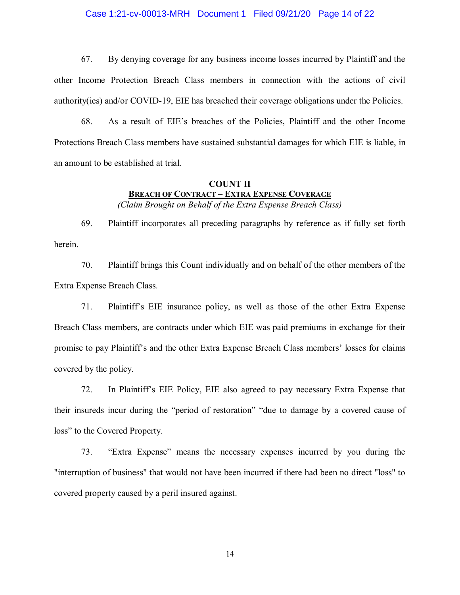#### Case 1:21-cv-00013-MRH Document 1 Filed 09/21/20 Page 14 of 22

67. By denying coverage for any business income losses incurred by Plaintiff and the other Income Protection Breach Class members in connection with the actions of civil authority(ies) and/or COVID-19, EIE has breached their coverage obligations under the Policies.

68. As a result of EIE's breaches of the Policies, Plaintiff and the other Income Protections Breach Class members have sustained substantial damages for which EIE is liable, in an amount to be established at trial.

## **COUNT II BREACH OF CONTRACT – EXTRA EXPENSE COVERAGE**  *(Claim Brought on Behalf of the Extra Expense Breach Class)*

69. Plaintiff incorporates all preceding paragraphs by reference as if fully set forth herein.

70. Plaintiff brings this Count individually and on behalf of the other members of the Extra Expense Breach Class.

71. Plaintiff's EIE insurance policy, as well as those of the other Extra Expense Breach Class members, are contracts under which EIE was paid premiums in exchange for their promise to pay Plaintiff's and the other Extra Expense Breach Class members' losses for claims covered by the policy.

72. In Plaintiff's EIE Policy, EIE also agreed to pay necessary Extra Expense that their insureds incur during the "period of restoration" "due to damage by a covered cause of loss" to the Covered Property.

73. "Extra Expense" means the necessary expenses incurred by you during the "interruption of business" that would not have been incurred if there had been no direct "loss" to covered property caused by a peril insured against.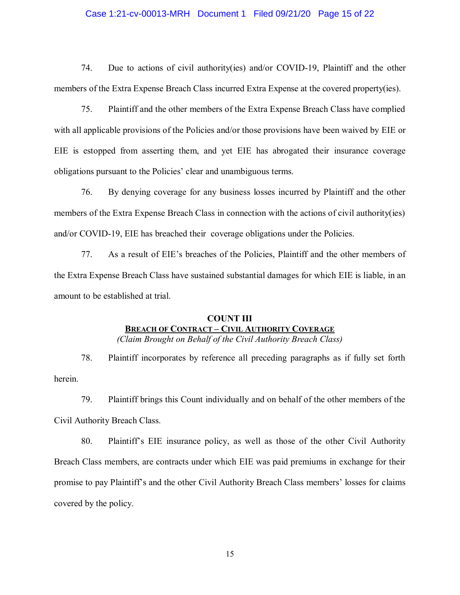#### Case 1:21-cv-00013-MRH Document 1 Filed 09/21/20 Page 15 of 22

74. Due to actions of civil authority(ies) and/or COVID-19, Plaintiff and the other members of the Extra Expense Breach Class incurred Extra Expense at the covered property(ies).

75. Plaintiff and the other members of the Extra Expense Breach Class have complied with all applicable provisions of the Policies and/or those provisions have been waived by EIE or EIE is estopped from asserting them, and yet EIE has abrogated their insurance coverage obligations pursuant to the Policies' clear and unambiguous terms.

76. By denying coverage for any business losses incurred by Plaintiff and the other members of the Extra Expense Breach Class in connection with the actions of civil authority(ies) and/or COVID-19, EIE has breached their coverage obligations under the Policies.

77. As a result of EIE's breaches of the Policies, Plaintiff and the other members of the Extra Expense Breach Class have sustained substantial damages for which EIE is liable, in an amount to be established at trial.

# **COUNT III BREACH OF CONTRACT – CIVIL AUTHORITY COVERAGE**

*(Claim Brought on Behalf of the Civil Authority Breach Class)*

78. Plaintiff incorporates by reference all preceding paragraphs as if fully set forth herein.

79. Plaintiff brings this Count individually and on behalf of the other members of the Civil Authority Breach Class.

80. Plaintiff's EIE insurance policy, as well as those of the other Civil Authority Breach Class members, are contracts under which EIE was paid premiums in exchange for their promise to pay Plaintiff's and the other Civil Authority Breach Class members' losses for claims covered by the policy.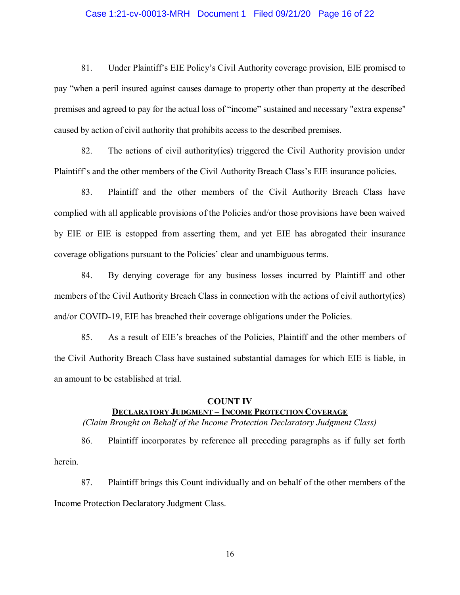#### Case 1:21-cv-00013-MRH Document 1 Filed 09/21/20 Page 16 of 22

81. Under Plaintiff's EIE Policy's Civil Authority coverage provision, EIE promised to pay "when a peril insured against causes damage to property other than property at the described premises and agreed to pay for the actual loss of "income" sustained and necessary "extra expense" caused by action of civil authority that prohibits access to the described premises.

82. The actions of civil authority(ies) triggered the Civil Authority provision under Plaintiff's and the other members of the Civil Authority Breach Class's EIE insurance policies.

83. Plaintiff and the other members of the Civil Authority Breach Class have complied with all applicable provisions of the Policies and/or those provisions have been waived by EIE or EIE is estopped from asserting them, and yet EIE has abrogated their insurance coverage obligations pursuant to the Policies' clear and unambiguous terms.

84. By denying coverage for any business losses incurred by Plaintiff and other members of the Civil Authority Breach Class in connection with the actions of civil authorty(ies) and/or COVID-19, EIE has breached their coverage obligations under the Policies.

85. As a result of EIE's breaches of the Policies, Plaintiff and the other members of the Civil Authority Breach Class have sustained substantial damages for which EIE is liable, in an amount to be established at trial.

## **COUNT IV**

## **DECLARATORY JUDGMENT – INCOME PROTECTION COVERAGE**

*(Claim Brought on Behalf of the Income Protection Declaratory Judgment Class)*

86. Plaintiff incorporates by reference all preceding paragraphs as if fully set forth herein.

87. Plaintiff brings this Count individually and on behalf of the other members of the Income Protection Declaratory Judgment Class.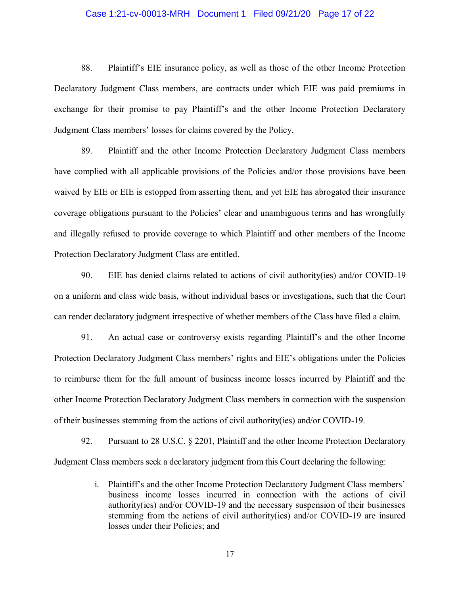#### Case 1:21-cv-00013-MRH Document 1 Filed 09/21/20 Page 17 of 22

88. Plaint if  $\Gamma$ 's EIE insurance policy, as well as those of the other Income Protection Declaratory Judgment Class members, are contracts under which EIE was paid premiums in exchange for their promise to pay Plaintiff's and the other Income Protection Declaratory Judgment Class members' losses for claims covered by the Policy.

89. Plaintiff and the other Income Protection Declaratory Judgment Class members have complied with all applicable provisions of the Policies and/or those provisions have been waived by EIE or EIE is estopped from asserting them, and yet EIE has abrogated their insurance coverage obligations pursuant to the Policies' clear and unambiguous terms and has wrongfully and illegally refused to provide coverage to which Plaintiff and other members of the Income Protection Declaratory Judgment Class are entitled.

90. EIE has denied claims related to actions of civil authority(ies) and/or COVID-19 on a uniform and class wide basis, without individual bases or investigations, such that the Court can render declaratory judgment irrespective of whether members of the Class have filed a claim.

91. An actual case or controversy exists regarding Plaintiff's and the other Income Protection Declaratory Judgment Class members' rights and EIE's obligations under the Policies to reimburse them for the full amount of business income losses incurred by Plaintiff and the other Income Protection Declaratory Judgment Class members in connection with the suspension of their businesses stemming from the actions of civil authority(ies) and/or COVID-19.

92. Pursuant to 28 U.S.C. § 2201, Plaintiff and the other Income Protection Declaratory Judgment Class members seek a declaratory judgment from this Court declaring the following:

> i. Plaintiff's and the other Income Protection Declaratory Judgment Class members' business income losses incurred in connection with the actions of civil authority(ies) and/or COVID-19 and the necessary suspension of their businesses stemming from the actions of civil authority(ies) and/or COVID-19 are insured losses under their Policies; and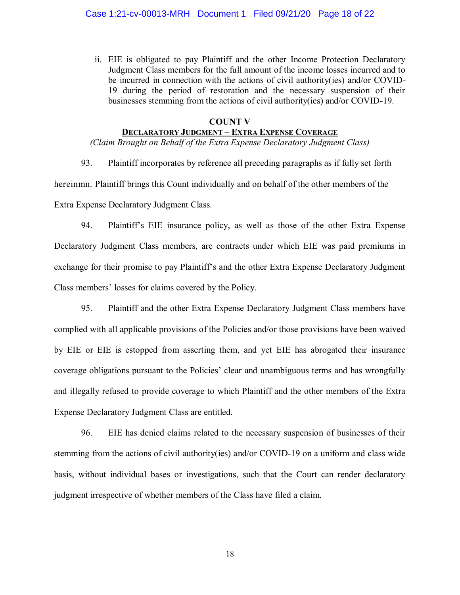ii. EIE is obligated to pay Plaintiff and the other Income Protection Declaratory Judgment Class members for the full amount of the income losses incurred and to be incurred in connection with the actions of civil authority(ies) and/or COVID-19 during the period of restoration and the necessary suspension of their businesses stemming from the actions of civil authority(ies) and/or COVID-19.

#### **COUNT V**

## **DECLARATORY JUDGMENT – EXTRA EXPENSE COVERAGE**

*(Claim Brought on Behalf of the Extra Expense Declaratory Judgment Class)*

93. Plaintiff incorporates by reference all preceding paragraphs as if fully set forth

hereinmn. Plaintiff brings this Count individually and on behalf of the other members of the

Extra Expense Declaratory Judgment Class.

94. Plaintiff's EIE insurance policy, as well as those of the other Extra Expense Declaratory Judgment Class members, are contracts under which EIE was paid premiums in exchange for their promise to pay Plaintiff's and the other Extra Expense Declaratory Judgment Class members' losses for claims covered by the Policy.

95. Plaintiff and the other Extra Expense Declaratory Judgment Class members have complied with all applicable provisions of the Policies and/or those provisions have been waived by EIE or EIE is estopped from asserting them, and yet EIE has abrogated their insurance coverage obligations pursuant to the Policies' clear and unambiguous terms and has wrongfully and illegally refused to provide coverage to which Plaintiff and the other members of the Extra Expense Declaratory Judgment Class are entitled.

96. EIE has denied claims related to the necessary suspension of businesses of their stemming from the actions of civil authority(ies) and/or COVID-19 on a uniform and class wide basis, without individual bases or investigations, such that the Court can render declaratory judgment irrespective of whether members of the Class have filed a claim.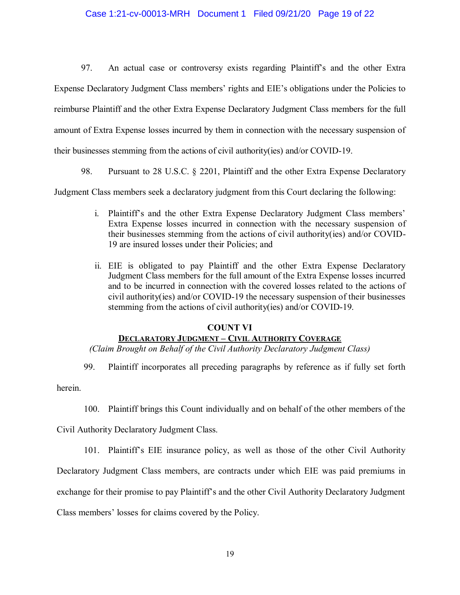## Case 1:21-cv-00013-MRH Document 1 Filed 09/21/20 Page 19 of 22

97. An actual case or controversy exists regarding Plaintiff's and the other Extra Expense Declaratory Judgment Class members' rights and EIE's obligations under the Policies to reimburse Plaintiff and the other Extra Expense Declaratory Judgment Class members for the full amount of Extra Expense losses incurred by them in connection with the necessary suspension of their businesses stemming from the actions of civil authority(ies) and/or COVID-19.

98. Pursuant to 28 U.S.C. § 2201, Plaintiff and the other Extra Expense Declaratory

Judgment Class members seek a declaratory judgment from this Court declaring the following:

- i. Plaintiff's and the other Extra Expense Declaratory Judgment Class members' Extra Expense losses incurred in connection with the necessary suspension of their businesses stemming from the actions of civil authority(ies) and/or COVID-19 are insured losses under their Policies; and
- ii. EIE is obligated to pay Plaintiff and the other Extra Expense Declaratory Judgment Class members for the full amount of the Extra Expense losses incurred and to be incurred in connection with the covered losses related to the actions of civil authority(ies) and/or COVID-19 the necessary suspension of their businesses stemming from the actions of civil authority(ies) and/or COVID-19.

#### **COUNT VI**

## **DECLARATORY JUDGMENT – CIVIL AUTHORITY COVERAGE**

*(Claim Brought on Behalf of the Civil Authority Declaratory Judgment Class)*

99. Plaintiff incorporates all preceding paragraphs by reference as if fully set forth

herein.

100. Plaintiff brings this Count individually and on behalf of the other members of the

Civil Authority Declaratory Judgment Class.

101. Plaintiff's EIE insurance policy, as well as those of the other Civil Authority

Declaratory Judgment Class members, are contracts under which EIE was paid premiums in

exchange for their promise to pay Plaintiff's and the other Civil Authority Declaratory Judgment

Class members' losses for claims covered by the Policy.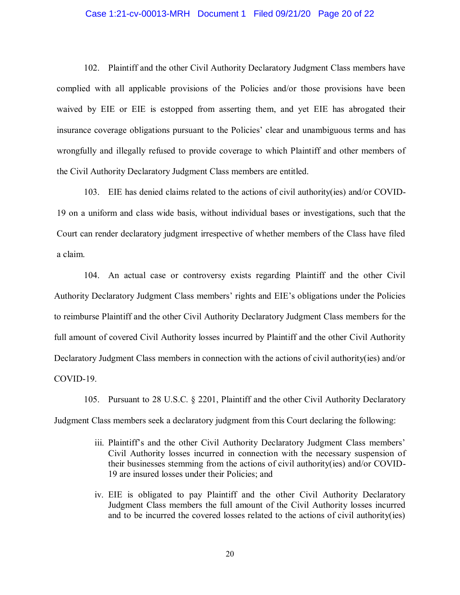#### Case 1:21-cv-00013-MRH Document 1 Filed 09/21/20 Page 20 of 22

102. Plaintiff and the other Civil Authority Declaratory Judgment Class members have complied with all applicable provisions of the Policies and/or those provisions have been waived by EIE or EIE is estopped from asserting them, and yet EIE has abrogated their insurance coverage obligations pursuant to the Policies' clear and unambiguous terms and has wrongfully and illegally refused to provide coverage to which Plaintiff and other members of the Civil Authority Declaratory Judgment Class members are entitled.

103. EIE has denied claims related to the actions of civil authority(ies) and/or COVID-19 on a uniform and class wide basis, without individual bases or investigations, such that the Court can render declaratory judgment irrespective of whether members of the Class have filed a claim.

104. An actual case or controversy exists regarding Plaintiff and the other Civil Authority Declaratory Judgment Class members' rights and EIE's obligations under the Policies to reimburse Plaintiff and the other Civil Authority Declaratory Judgment Class members for the full amount of covered Civil Authority losses incurred by Plaintiff and the other Civil Authority Declaratory Judgment Class members in connection with the actions of civil authority(ies) and/or COVID-19.

105. Pursuant to 28 U.S.C. § 2201, Plaintiff and the other Civil Authority Declaratory Judgment Class members seek a declaratory judgment from this Court declaring the following:

- iii. Plaintiff's and the other Civil Authority Declaratory Judgment Class members' Civil Authority losses incurred in connection with the necessary suspension of their businesses stemming from the actions of civil authority(ies) and/or COVID-19 are insured losses under their Policies; and
- iv. EIE is obligated to pay Plaintiff and the other Civil Authority Declaratory Judgment Class members the full amount of the Civil Authority losses incurred and to be incurred the covered losses related to the actions of civil authority(ies)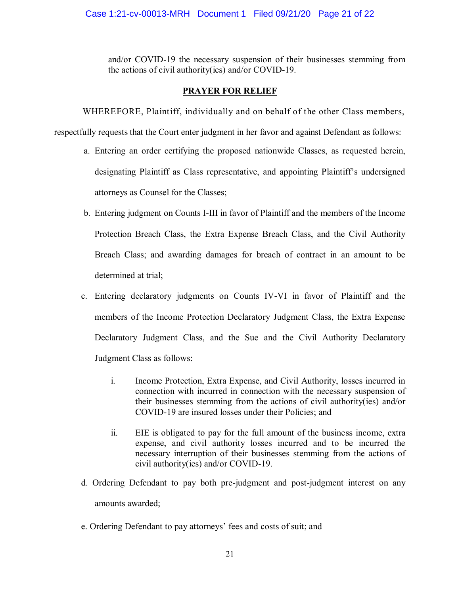and/or COVID-19 the necessary suspension of their businesses stemming from the actions of civil authority(ies) and/or COVID-19.

## **PRAYER FOR RELIEF**

WHEREFORE, Plaintiff, individually and on behalf of the other Class members,

respectfully requests that the Court enter judgment in her favor and against Defendant as follows:

- a. Entering an order certifying the proposed nationwide Classes, as requested herein, designating Plaintiff as Class representative, and appointing Plaintiff's undersigned attorneys as Counsel for the Classes;
- b. Entering judgment on Counts I-III in favor of Plaintiff and the members of the Income Protection Breach Class, the Extra Expense Breach Class, and the Civil Authority Breach Class; and awarding damages for breach of contract in an amount to be determined at trial;
- c. Entering declaratory judgments on Counts IV-VI in favor of Plaintiff and the members of the Income Protection Declaratory Judgment Class, the Extra Expense Declaratory Judgment Class, and the Sue and the Civil Authority Declaratory Judgment Class as follows:
	- i. Income Protection, Extra Expense, and Civil Authority, losses incurred in connection with incurred in connection with the necessary suspension of their businesses stemming from the actions of civil authority(ies) and/or COVID-19 are insured losses under their Policies; and
	- ii. EIE is obligated to pay for the full amount of the business income, extra expense, and civil authority losses incurred and to be incurred the necessary interruption of their businesses stemming from the actions of civil authority(ies) and/or COVID-19.
- d. Ordering Defendant to pay both pre-judgment and post-judgment interest on any amounts awarded;
- e. Ordering Defendant to pay attorneys' fees and costs of suit; and